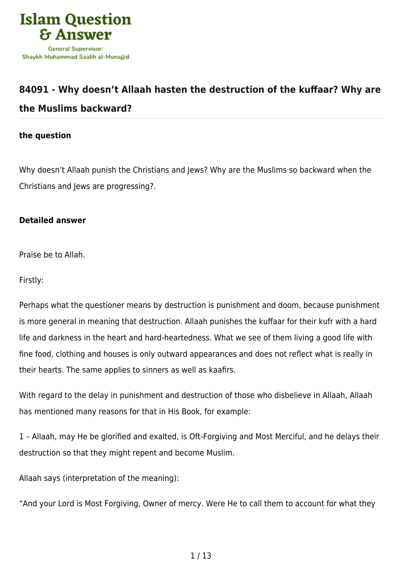

# **[84091 - Why doesn't Allaah hasten the destruction of the kuffaar? Why are](https://islamqa.com/en/answers/84091/why-doesnt-allaah-hasten-the-destruction-of-the-kuffaar-why-are-the-muslims-backward) [the Muslims backward?](https://islamqa.com/en/answers/84091/why-doesnt-allaah-hasten-the-destruction-of-the-kuffaar-why-are-the-muslims-backward)**

#### **the question**

Why doesn't Allaah punish the Christians and Jews? Why are the Muslims so backward when the Christians and Jews are progressing?.

## **Detailed answer**

Praise be to Allah.

Firstly:

Perhaps what the questioner means by destruction is punishment and doom, because punishment is more general in meaning that destruction. Allaah punishes the kuffaar for their kufr with a hard life and darkness in the heart and hard-heartedness. What we see of them living a good life with fine food, clothing and houses is only outward appearances and does not reflect what is really in their hearts. The same applies to sinners as well as kaafirs.

With regard to the delay in punishment and destruction of those who disbelieve in Allaah, Allaah has mentioned many reasons for that in His Book, for example:

1 – Allaah, may He be glorified and exalted, is Oft-Forgiving and Most Merciful, and he delays their destruction so that they might repent and become Muslim.

Allaah says (interpretation of the meaning):

"And your Lord is Most Forgiving, Owner of mercy. Were He to call them to account for what they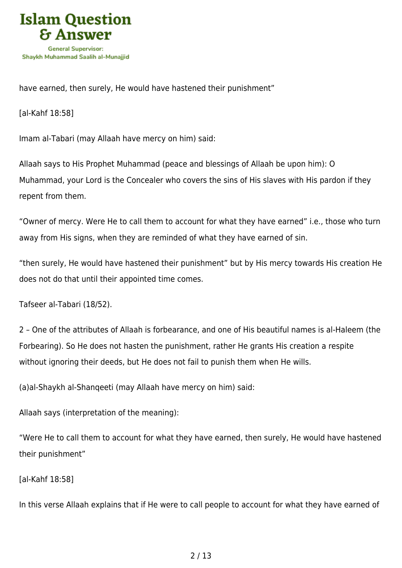

have earned, then surely, He would have hastened their punishment"

[al-Kahf 18:58]

Imam al-Tabari (may Allaah have mercy on him) said:

Allaah says to His Prophet Muhammad (peace and blessings of Allaah be upon him): O Muhammad, your Lord is the Concealer who covers the sins of His slaves with His pardon if they repent from them.

"Owner of mercy. Were He to call them to account for what they have earned" i.e., those who turn away from His signs, when they are reminded of what they have earned of sin.

"then surely, He would have hastened their punishment" but by His mercy towards His creation He does not do that until their appointed time comes.

Tafseer al-Tabari (18/52).

2 – One of the attributes of Allaah is forbearance, and one of His beautiful names is al-Haleem (the Forbearing). So He does not hasten the punishment, rather He grants His creation a respite without ignoring their deeds, but He does not fail to punish them when He wills.

(a)al-Shaykh al-Shanqeeti (may Allaah have mercy on him) said:

Allaah says (interpretation of the meaning):

"Were He to call them to account for what they have earned, then surely, He would have hastened their punishment"

[al-Kahf 18:58]

In this verse Allaah explains that if He were to call people to account for what they have earned of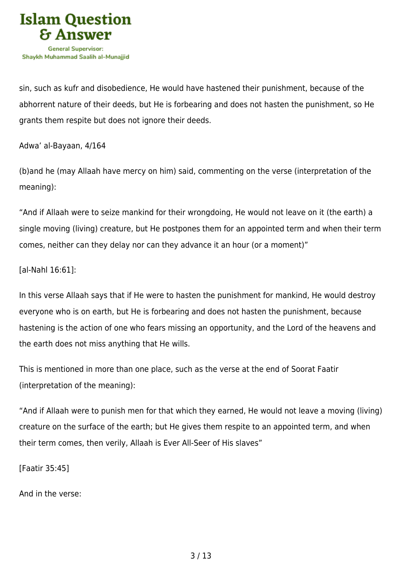

sin, such as kufr and disobedience, He would have hastened their punishment, because of the abhorrent nature of their deeds, but He is forbearing and does not hasten the punishment, so He grants them respite but does not ignore their deeds.

Adwa' al-Bayaan, 4/164

(b)and he (may Allaah have mercy on him) said, commenting on the verse (interpretation of the meaning):

"And if Allaah were to seize mankind for their wrongdoing, He would not leave on it (the earth) a single moving (living) creature, but He postpones them for an appointed term and when their term comes, neither can they delay nor can they advance it an hour (or a moment)"

[al-Nahl 16:61]:

In this verse Allaah says that if He were to hasten the punishment for mankind, He would destroy everyone who is on earth, but He is forbearing and does not hasten the punishment, because hastening is the action of one who fears missing an opportunity, and the Lord of the heavens and the earth does not miss anything that He wills.

This is mentioned in more than one place, such as the verse at the end of Soorat Faatir (interpretation of the meaning):

"And if Allaah were to punish men for that which they earned, He would not leave a moving (living) creature on the surface of the earth; but He gives them respite to an appointed term, and when their term comes, then verily, Allaah is Ever All‑Seer of His slaves"

[Faatir 35:45]

And in the verse: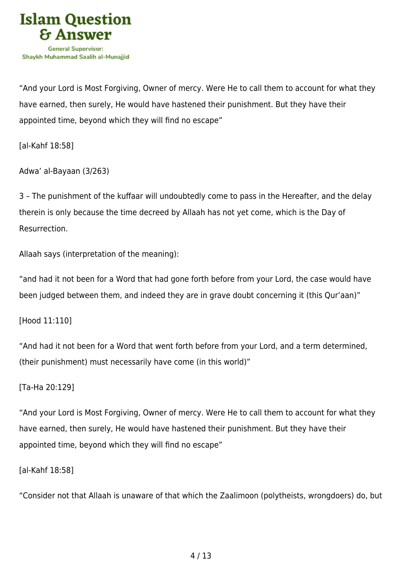

"And your Lord is Most Forgiving, Owner of mercy. Were He to call them to account for what they have earned, then surely, He would have hastened their punishment. But they have their appointed time, beyond which they will find no escape"

[al-Kahf 18:58]

Adwa' al-Bayaan (3/263)

3 – The punishment of the kuffaar will undoubtedly come to pass in the Hereafter, and the delay therein is only because the time decreed by Allaah has not yet come, which is the Day of Resurrection.

Allaah says (interpretation of the meaning):

"and had it not been for a Word that had gone forth before from your Lord, the case would have been judged between them, and indeed they are in grave doubt concerning it (this Qur'aan)"

[Hood 11:110]

"And had it not been for a Word that went forth before from your Lord, and a term determined, (their punishment) must necessarily have come (in this world)"

[Ta-Ha 20:129]

"And your Lord is Most Forgiving, Owner of mercy. Were He to call them to account for what they have earned, then surely, He would have hastened their punishment. But they have their appointed time, beyond which they will find no escape"

[al-Kahf 18:58]

"Consider not that Allaah is unaware of that which the Zaalimoon (polytheists, wrongdoers) do, but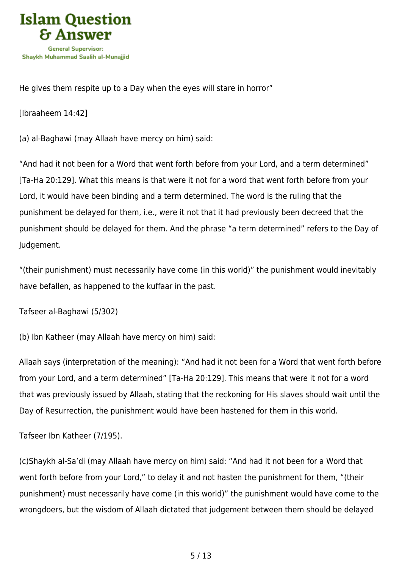

He gives them respite up to a Day when the eyes will stare in horror"

[Ibraaheem 14:42]

(a) al-Baghawi (may Allaah have mercy on him) said:

"And had it not been for a Word that went forth before from your Lord, and a term determined" [Ta-Ha 20:129]. What this means is that were it not for a word that went forth before from your Lord, it would have been binding and a term determined. The word is the ruling that the punishment be delayed for them, i.e., were it not that it had previously been decreed that the punishment should be delayed for them. And the phrase "a term determined" refers to the Day of Judgement.

"(their punishment) must necessarily have come (in this world)" the punishment would inevitably have befallen, as happened to the kuffaar in the past.

Tafseer al-Baghawi (5/302)

(b) Ibn Katheer (may Allaah have mercy on him) said:

Allaah says (interpretation of the meaning): "And had it not been for a Word that went forth before from your Lord, and a term determined" [Ta-Ha 20:129]. This means that were it not for a word that was previously issued by Allaah, stating that the reckoning for His slaves should wait until the Day of Resurrection, the punishment would have been hastened for them in this world.

Tafseer Ibn Katheer (7/195).

(c)Shaykh al-Sa'di (may Allaah have mercy on him) said: "And had it not been for a Word that went forth before from your Lord," to delay it and not hasten the punishment for them, "(their punishment) must necessarily have come (in this world)" the punishment would have come to the wrongdoers, but the wisdom of Allaah dictated that judgement between them should be delayed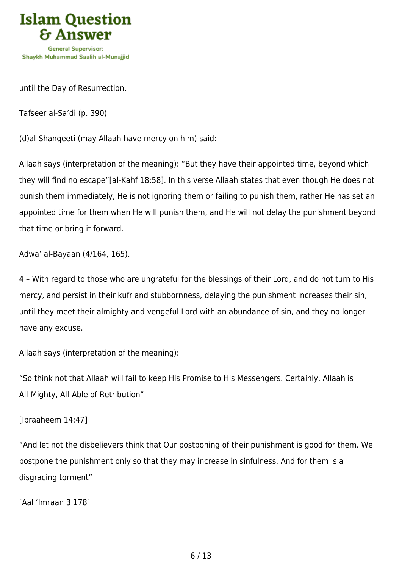

until the Day of Resurrection.

Tafseer al-Sa'di (p. 390)

(d)al-Shanqeeti (may Allaah have mercy on him) said:

Allaah says (interpretation of the meaning): "But they have their appointed time, beyond which they will find no escape"[al-Kahf 18:58]. In this verse Allaah states that even though He does not punish them immediately, He is not ignoring them or failing to punish them, rather He has set an appointed time for them when He will punish them, and He will not delay the punishment beyond that time or bring it forward.

Adwa' al-Bayaan (4/164, 165).

4 – With regard to those who are ungrateful for the blessings of their Lord, and do not turn to His mercy, and persist in their kufr and stubbornness, delaying the punishment increases their sin, until they meet their almighty and vengeful Lord with an abundance of sin, and they no longer have any excuse.

Allaah says (interpretation of the meaning):

"So think not that Allaah will fail to keep His Promise to His Messengers. Certainly, Allaah is All‑Mighty, All‑Able of Retribution"

[Ibraaheem 14:47]

"And let not the disbelievers think that Our postponing of their punishment is good for them. We postpone the punishment only so that they may increase in sinfulness. And for them is a disgracing torment"

[Aal 'Imraan 3:178]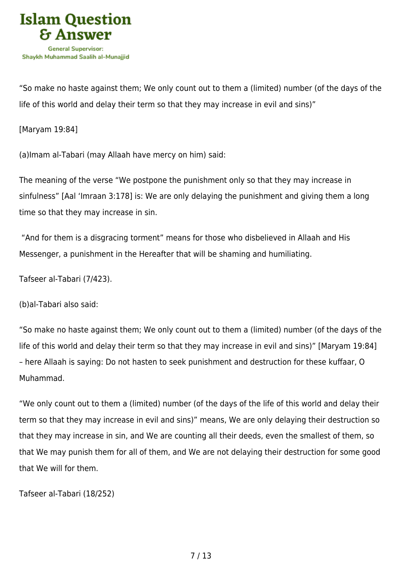

"So make no haste against them; We only count out to them a (limited) number (of the days of the life of this world and delay their term so that they may increase in evil and sins)"

[Maryam 19:84]

(a)Imam al-Tabari (may Allaah have mercy on him) said:

The meaning of the verse "We postpone the punishment only so that they may increase in sinfulness" [Aal 'Imraan 3:178] is: We are only delaying the punishment and giving them a long time so that they may increase in sin.

 "And for them is a disgracing torment" means for those who disbelieved in Allaah and His Messenger, a punishment in the Hereafter that will be shaming and humiliating.

Tafseer al-Tabari (7/423).

(b)al-Tabari also said:

"So make no haste against them; We only count out to them a (limited) number (of the days of the life of this world and delay their term so that they may increase in evil and sins)" [Maryam 19:84] – here Allaah is saying: Do not hasten to seek punishment and destruction for these kuffaar, O Muhammad.

"We only count out to them a (limited) number (of the days of the life of this world and delay their term so that they may increase in evil and sins)" means, We are only delaying their destruction so that they may increase in sin, and We are counting all their deeds, even the smallest of them, so that We may punish them for all of them, and We are not delaying their destruction for some good that We will for them.

Tafseer al-Tabari (18/252)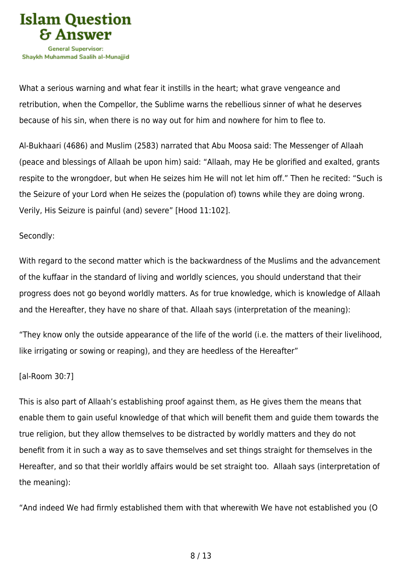

What a serious warning and what fear it instills in the heart; what grave vengeance and retribution, when the Compellor, the Sublime warns the rebellious sinner of what he deserves because of his sin, when there is no way out for him and nowhere for him to flee to.

Al-Bukhaari (4686) and Muslim (2583) narrated that Abu Moosa said: The Messenger of Allaah (peace and blessings of Allaah be upon him) said: "Allaah, may He be glorified and exalted, grants respite to the wrongdoer, but when He seizes him He will not let him off." Then he recited: "Such is the Seizure of your Lord when He seizes the (population of) towns while they are doing wrong. Verily, His Seizure is painful (and) severe" [Hood 11:102].

## Secondly:

With regard to the second matter which is the backwardness of the Muslims and the advancement of the kuffaar in the standard of living and worldly sciences, you should understand that their progress does not go beyond worldly matters. As for true knowledge, which is knowledge of Allaah and the Hereafter, they have no share of that. Allaah says (interpretation of the meaning):

"They know only the outside appearance of the life of the world (i.e. the matters of their livelihood, like irrigating or sowing or reaping), and they are heedless of the Hereafter"

[al-Room 30:7]

This is also part of Allaah's establishing proof against them, as He gives them the means that enable them to gain useful knowledge of that which will benefit them and guide them towards the true religion, but they allow themselves to be distracted by worldly matters and they do not benefit from it in such a way as to save themselves and set things straight for themselves in the Hereafter, and so that their worldly affairs would be set straight too. Allaah says (interpretation of the meaning):

"And indeed We had firmly established them with that wherewith We have not established you (O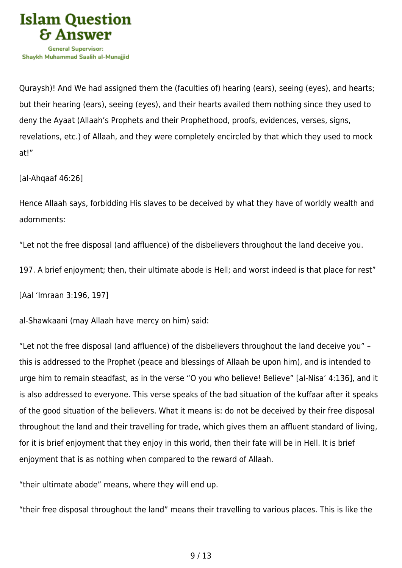

Quraysh)! And We had assigned them the (faculties of) hearing (ears), seeing (eyes), and hearts; but their hearing (ears), seeing (eyes), and their hearts availed them nothing since they used to deny the Ayaat (Allaah's Prophets and their Prophethood, proofs, evidences, verses, signs, revelations, etc.) of Allaah, and they were completely encircled by that which they used to mock at!"

[al-Ahqaaf 46:26]

Hence Allaah says, forbidding His slaves to be deceived by what they have of worldly wealth and adornments:

"Let not the free disposal (and affluence) of the disbelievers throughout the land deceive you.

197. A brief enjoyment; then, their ultimate abode is Hell; and worst indeed is that place for rest"

[Aal 'Imraan 3:196, 197]

al-Shawkaani (may Allaah have mercy on him) said:

"Let not the free disposal (and affluence) of the disbelievers throughout the land deceive you" – this is addressed to the Prophet (peace and blessings of Allaah be upon him), and is intended to urge him to remain steadfast, as in the verse "O you who believe! Believe" [al-Nisa' 4:136], and it is also addressed to everyone. This verse speaks of the bad situation of the kuffaar after it speaks of the good situation of the believers. What it means is: do not be deceived by their free disposal throughout the land and their travelling for trade, which gives them an affluent standard of living, for it is brief enjoyment that they enjoy in this world, then their fate will be in Hell. It is brief enjoyment that is as nothing when compared to the reward of Allaah.

"their ultimate abode" means, where they will end up.

"their free disposal throughout the land" means their travelling to various places. This is like the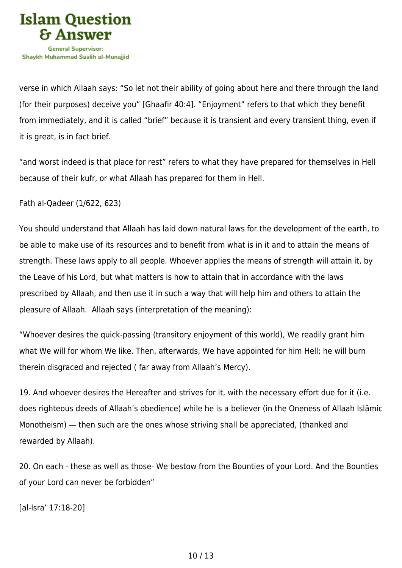

verse in which Allaah says: "So let not their ability of going about here and there through the land (for their purposes) deceive you" [Ghaafir 40:4]. "Enjoyment" refers to that which they benefit from immediately, and it is called "brief" because it is transient and every transient thing, even if it is great, is in fact brief.

"and worst indeed is that place for rest" refers to what they have prepared for themselves in Hell because of their kufr, or what Allaah has prepared for them in Hell.

Fath al-Qadeer (1/622, 623)

You should understand that Allaah has laid down natural laws for the development of the earth, to be able to make use of its resources and to benefit from what is in it and to attain the means of strength. These laws apply to all people. Whoever applies the means of strength will attain it, by the Leave of his Lord, but what matters is how to attain that in accordance with the laws prescribed by Allaah, and then use it in such a way that will help him and others to attain the pleasure of Allaah. Allaah says (interpretation of the meaning):

"Whoever desires the quick‑passing (transitory enjoyment of this world), We readily grant him what We will for whom We like. Then, afterwards, We have appointed for him Hell; he will burn therein disgraced and rejected ( far away from Allaah's Mercy).

19. And whoever desires the Hereafter and strives for it, with the necessary effort due for it (i.e. does righteous deeds of Allaah's obedience) while he is a believer (in the Oneness of Allaah Islâmic Monotheism) — then such are the ones whose striving shall be appreciated, (thanked and rewarded by Allaah).

20. On each - these as well as those- We bestow from the Bounties of your Lord. And the Bounties of your Lord can never be forbidden"

[al-Isra' 17:18-20]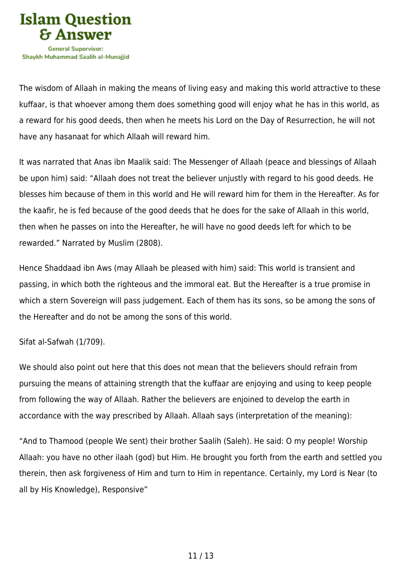

The wisdom of Allaah in making the means of living easy and making this world attractive to these kuffaar, is that whoever among them does something good will enjoy what he has in this world, as a reward for his good deeds, then when he meets his Lord on the Day of Resurrection, he will not have any hasanaat for which Allaah will reward him.

It was narrated that Anas ibn Maalik said: The Messenger of Allaah (peace and blessings of Allaah be upon him) said: "Allaah does not treat the believer unjustly with regard to his good deeds. He blesses him because of them in this world and He will reward him for them in the Hereafter. As for the kaafir, he is fed because of the good deeds that he does for the sake of Allaah in this world, then when he passes on into the Hereafter, he will have no good deeds left for which to be rewarded." Narrated by Muslim (2808).

Hence Shaddaad ibn Aws (may Allaah be pleased with him) said: This world is transient and passing, in which both the righteous and the immoral eat. But the Hereafter is a true promise in which a stern Sovereign will pass judgement. Each of them has its sons, so be among the sons of the Hereafter and do not be among the sons of this world.

#### Sifat al-Safwah (1/709).

We should also point out here that this does not mean that the believers should refrain from pursuing the means of attaining strength that the kuffaar are enjoying and using to keep people from following the way of Allaah. Rather the believers are enjoined to develop the earth in accordance with the way prescribed by Allaah. Allaah says (interpretation of the meaning):

"And to Thamood (people We sent) their brother Saalih (Saleh). He said: O my people! Worship Allaah: you have no other ilaah (god) but Him. He brought you forth from the earth and settled you therein, then ask forgiveness of Him and turn to Him in repentance. Certainly, my Lord is Near (to all by His Knowledge), Responsive"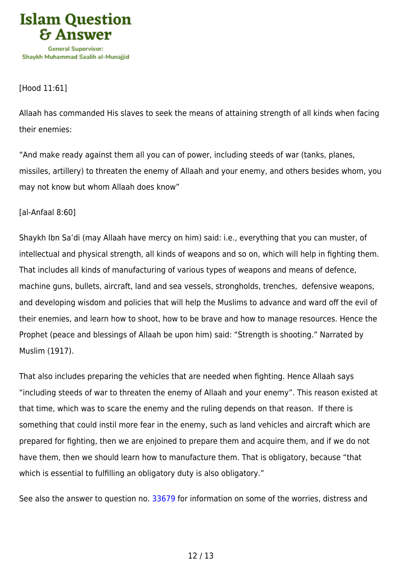

[Hood 11:61]

Allaah has commanded His slaves to seek the means of attaining strength of all kinds when facing their enemies:

"And make ready against them all you can of power, including steeds of war (tanks, planes, missiles, artillery) to threaten the enemy of Allaah and your enemy, and others besides whom, you may not know but whom Allaah does know"

[al-Anfaal 8:60]

Shaykh Ibn Sa'di (may Allaah have mercy on him) said: i.e., everything that you can muster, of intellectual and physical strength, all kinds of weapons and so on, which will help in fighting them. That includes all kinds of manufacturing of various types of weapons and means of defence, machine guns, bullets, aircraft, land and sea vessels, strongholds, trenches, defensive weapons, and developing wisdom and policies that will help the Muslims to advance and ward off the evil of their enemies, and learn how to shoot, how to be brave and how to manage resources. Hence the Prophet (peace and blessings of Allaah be upon him) said: "Strength is shooting." Narrated by Muslim (1917).

That also includes preparing the vehicles that are needed when fighting. Hence Allaah says "including steeds of war to threaten the enemy of Allaah and your enemy". This reason existed at that time, which was to scare the enemy and the ruling depends on that reason. If there is something that could instil more fear in the enemy, such as land vehicles and aircraft which are prepared for fighting, then we are enjoined to prepare them and acquire them, and if we do not have them, then we should learn how to manufacture them. That is obligatory, because "that which is essential to fulfilling an obligatory duty is also obligatory."

See also the answer to question no. [33679](https://islamqa.com/en/answers/33679) for information on some of the worries, distress and